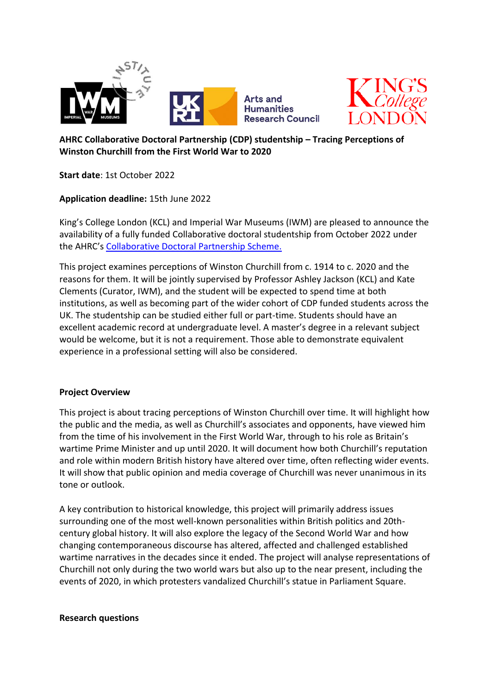



# **AHRC Collaborative Doctoral Partnership (CDP) studentship – Tracing Perceptions of Winston Churchill from the First World War to 2020**

**Start date**: 1st October 2022

**Application deadline:** 15th June 2022

King's College London (KCL) and Imperial War Museums (IWM) are pleased to announce the availability of a fully funded Collaborative doctoral studentship from October 2022 under the AHRC's [Collaborative Doctoral Partnership Scheme.](https://ahrc.ukri.org/skills/phdstudents/collaborative-doctoral-partnerships-scheme/)

This project examines perceptions of Winston Churchill from c. 1914 to c. 2020 and the reasons for them. It will be jointly supervised by Professor Ashley Jackson (KCL) and Kate Clements (Curator, IWM), and the student will be expected to spend time at both institutions, as well as becoming part of the wider cohort of CDP funded students across the UK. The studentship can be studied either full or part-time. Students should have an excellent academic record at undergraduate level. A master's degree in a relevant subject would be welcome, but it is not a requirement. Those able to demonstrate equivalent experience in a professional setting will also be considered.

## **Project Overview**

This project is about tracing perceptions of Winston Churchill over time. It will highlight how the public and the media, as well as Churchill's associates and opponents, have viewed him from the time of his involvement in the First World War, through to his role as Britain's wartime Prime Minister and up until 2020. It will document how both Churchill's reputation and role within modern British history have altered over time, often reflecting wider events. It will show that public opinion and media coverage of Churchill was never unanimous in its tone or outlook.

A key contribution to historical knowledge, this project will primarily address issues surrounding one of the most well-known personalities within British politics and 20thcentury global history. It will also explore the legacy of the Second World War and how changing contemporaneous discourse has altered, affected and challenged established wartime narratives in the decades since it ended. The project will analyse representations of Churchill not only during the two world wars but also up to the near present, including the events of 2020, in which protesters vandalized Churchill's statue in Parliament Square.

### **Research questions**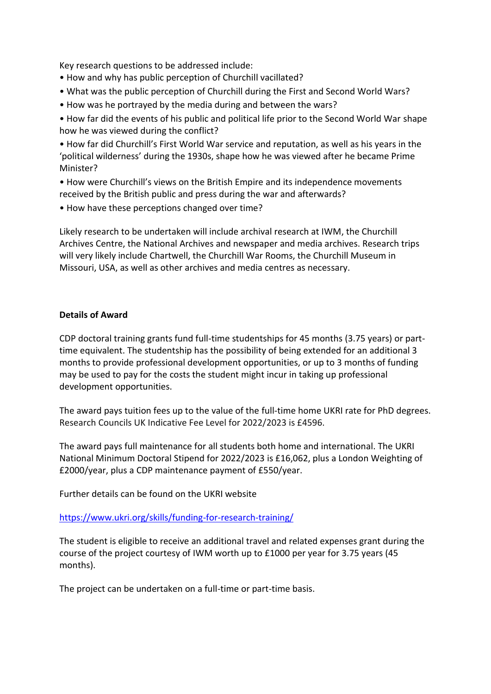Key research questions to be addressed include:

- How and why has public perception of Churchill vacillated?
- What was the public perception of Churchill during the First and Second World Wars?
- How was he portrayed by the media during and between the wars?
- How far did the events of his public and political life prior to the Second World War shape how he was viewed during the conflict?

• How far did Churchill's First World War service and reputation, as well as his years in the 'political wilderness' during the 1930s, shape how he was viewed after he became Prime Minister?

• How were Churchill's views on the British Empire and its independence movements received by the British public and press during the war and afterwards?

• How have these perceptions changed over time?

Likely research to be undertaken will include archival research at IWM, the Churchill Archives Centre, the National Archives and newspaper and media archives. Research trips will very likely include Chartwell, the Churchill War Rooms, the Churchill Museum in Missouri, USA, as well as other archives and media centres as necessary.

### **Details of Award**

CDP doctoral training grants fund full-time studentships for 45 months (3.75 years) or parttime equivalent. The studentship has the possibility of being extended for an additional 3 months to provide professional development opportunities, or up to 3 months of funding may be used to pay for the costs the student might incur in taking up professional development opportunities.

The award pays tuition fees up to the value of the full-time home UKRI rate for PhD degrees. Research Councils UK Indicative Fee Level for 2022/2023 is £4596.

The award pays full maintenance for all students both home and international. The UKRI National Minimum Doctoral Stipend for 2022/2023 is £16,062, plus a London Weighting of £2000/year, plus a CDP maintenance payment of £550/year.

Further details can be found on the UKRI website

<https://www.ukri.org/skills/funding-for-research-training/>

The student is eligible to receive an additional travel and related expenses grant during the course of the project courtesy of IWM worth up to £1000 per year for 3.75 years (45 months).

The project can be undertaken on a full-time or part-time basis.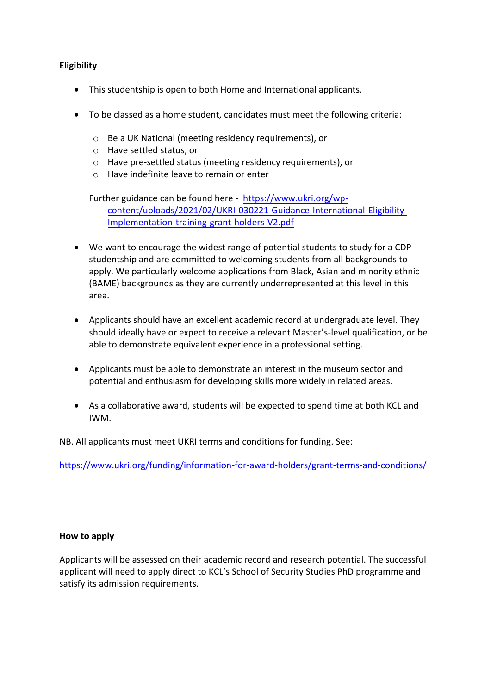## **Eligibility**

- This studentship is open to both Home and International applicants.
- To be classed as a home student, candidates must meet the following criteria:
	- o Be a UK National (meeting residency requirements), or
	- o Have settled status, or
	- o Have pre-settled status (meeting residency requirements), or
	- o Have indefinite leave to remain or enter

Further guidance can be found here - [https://www.ukri.org/wp](https://www.ukri.org/wp-content/uploads/2021/02/UKRI-030221-Guidance-International-Eligibility-Implementation-training-grant-holders-V2.pdf)[content/uploads/2021/02/UKRI-030221-Guidance-International-Eligibility-](https://www.ukri.org/wp-content/uploads/2021/02/UKRI-030221-Guidance-International-Eligibility-Implementation-training-grant-holders-V2.pdf)[Implementation-training-grant-holders-V2.pdf](https://www.ukri.org/wp-content/uploads/2021/02/UKRI-030221-Guidance-International-Eligibility-Implementation-training-grant-holders-V2.pdf)

- We want to encourage the widest range of potential students to study for a CDP studentship and are committed to welcoming students from all backgrounds to apply. We particularly welcome applications from Black, Asian and minority ethnic (BAME) backgrounds as they are currently underrepresented at this level in this area.
- Applicants should have an excellent academic record at undergraduate level. They should ideally have or expect to receive a relevant Master's-level qualification, or be able to demonstrate equivalent experience in a professional setting.
- Applicants must be able to demonstrate an interest in the museum sector and potential and enthusiasm for developing skills more widely in related areas.
- As a collaborative award, students will be expected to spend time at both KCL and IWM.

NB. All applicants must meet UKRI terms and conditions for funding. See:

<https://www.ukri.org/funding/information-for-award-holders/grant-terms-and-conditions/>

### **How to apply**

Applicants will be assessed on their academic record and research potential. The successful applicant will need to apply direct to KCL's School of Security Studies PhD programme and satisfy its admission requirements.